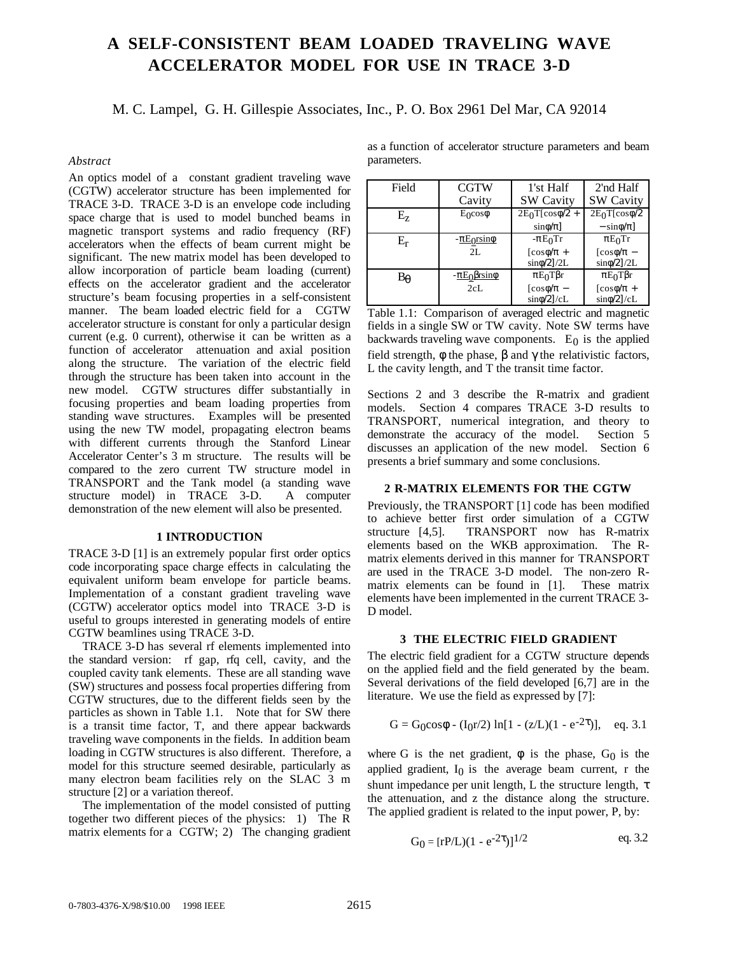# **A SELF-CONSISTENT BEAM LOADED TRAVELING WAVE ACCELERATOR MODEL FOR USE IN TRACE 3-D**

M. C. Lampel, G. H. Gillespie Associates, Inc., P. O. Box 2961 Del Mar, CA 92014

# *Abstract*

An optics model of a constant gradient traveling wave (CGTW) accelerator structure has been implemented for TRACE 3-D. TRACE 3-D is an envelope code including space charge that is used to model bunched beams in magnetic transport systems and radio frequency (RF) accelerators when the effects of beam current might be significant. The new matrix model has been developed to allow incorporation of particle beam loading (current) effects on the accelerator gradient and the accelerator structure's beam focusing properties in a self-consistent manner. The beam loaded electric field for a CGTW accelerator structure is constant for only a particular design current (e.g. 0 current), otherwise it can be written as a function of accelerator attenuation and axial position along the structure. The variation of the electric field through the structure has been taken into account in the new model. CGTW structures differ substantially in focusing properties and beam loading properties from standing wave structures. Examples will be presented using the new TW model, propagating electron beams with different currents through the Stanford Linear Accelerator Center's 3 m structure. The results will be compared to the zero current TW structure model in TRANSPORT and the Tank model (a standing wave structure model) in TRACE 3-D. A computer demonstration of the new element will also be presented.

# **1 INTRODUCTION**

TRACE 3-D [1] is an extremely popular first order optics code incorporating space charge effects in calculating the equivalent uniform beam envelope for particle beams. Implementation of a constant gradient traveling wave (CGTW) accelerator optics model into TRACE 3-D is useful to groups interested in generating models of entire CGTW beamlines using TRACE 3-D.

 TRACE 3-D has several rf elements implemented into the standard version: rf gap, rfq cell, cavity, and the coupled cavity tank elements. These are all standing wave (SW) structures and possess focal properties differing from CGTW structures, due to the different fields seen by the particles as shown in Table 1.1. Note that for SW there is a transit time factor, T, and there appear backwards traveling wave components in the fields. In addition beam loading in CGTW structures is also different. Therefore, a model for this structure seemed desirable, particularly as many electron beam facilities rely on the SLAC 3 m structure [2] or a variation thereof.

 The implementation of the model consisted of putting together two different pieces of the physics: 1) The R matrix elements for a CGTW; 2) The changing gradient as a function of accelerator structure parameters and beam parameters.

| Field     | <b>CGTW</b>       | 1'st Half                          | 2'nd Half                       |
|-----------|-------------------|------------------------------------|---------------------------------|
|           | Cavity            | <b>SW Cavity</b>                   | <b>SW Cavity</b>                |
| $E_z$     | $E_0 \cos \phi$   | $2E_0T[\cos\phi/2 +$               | $2E0T$ [cos $\phi/2$            |
|           |                   | $sin\phi/\pi$ ]                    | $-\sin\phi/\pi$ ]               |
| $\rm E_r$ | $-\pi E$ orsino   | $-\pi E_0$ Tr                      | $\pi E_0$ Tr                    |
|           | 2L                | $\left[\cos\phi/\pi\right. +$      | $\lceil \cos \phi / \pi \rceil$ |
|           |                   | $sin\phi/2$ ]/2L                   | $sin\phi/2$ ]/2L                |
| Βę        | $-\pi E_0$ Brsino | $\pi E_0 T \beta r$                | $\pi E_0 T \beta r$             |
|           | 2cL               | $\lceil \cos \phi / \pi - \rangle$ | $\left[\cos\phi/\pi + \right]$  |
|           |                   | $sin\phi/2$ ]/cL                   | $sin\phi/2$ ]/cL                |

Table 1.1: Comparison of averaged electric and magnetic fields in a single SW or TW cavity. Note SW terms have backwards traveling wave components.  $E_0$  is the applied field strength,  $\phi$  the phase,  $\beta$  and  $\gamma$  the relativistic factors, L the cavity length, and T the transit time factor.

Sections 2 and 3 describe the R-matrix and gradient models. Section 4 compares TRACE 3-D results to TRANSPORT, numerical integration, and theory to demonstrate the accuracy of the model. Section 5 discusses an application of the new model. Section 6 presents a brief summary and some conclusions.

### **2 R-MATRIX ELEMENTS FOR THE CGTW**

Previously, the TRANSPORT [1] code has been modified to achieve better first order simulation of a CGTW structure [4,5]. TRANSPORT now has R-matrix elements based on the WKB approximation. The Rmatrix elements derived in this manner for TRANSPORT are used in the TRACE 3-D model. The non-zero Rmatrix elements can be found in [1]. These matrix elements have been implemented in the current TRACE 3- D model.

#### **3 THE ELECTRIC FIELD GRADIENT**

The electric field gradient for a CGTW structure depends on the applied field and the field generated by the beam. Several derivations of the field developed [6,7] are in the literature. We use the field as expressed by [7]:

$$
G = G_0 \cos \phi - (I_0 r/2) \ln[1 - (z/L)(1 - e^{-2\tau})], \quad eq. 3.1
$$

where G is the net gradient,  $\phi$  is the phase, G<sub>0</sub> is the applied gradient,  $I_0$  is the average beam current, r the shunt impedance per unit length, L the structure length,  $\tau$ the attenuation, and z the distance along the structure. The applied gradient is related to the input power, P, by:

$$
G_0 = [rP/L)(1 - e^{-2\tau})]^{1/2}
$$
 eq. 3.2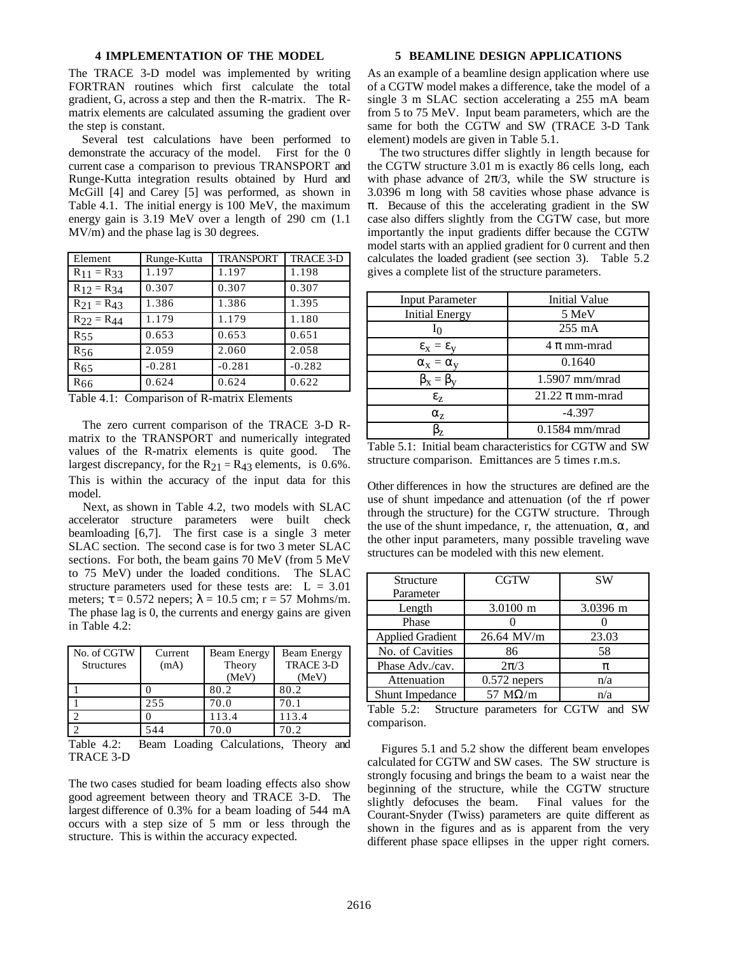# **4 IMPLEMENTATION OF THE MODEL**

The TRACE 3-D model was implemented by writing FORTRAN routines which first calculate the total gradient, G, across a step and then the R-matrix. The Rmatrix elements are calculated assuming the gradient over the step is constant.

 Several test calculations have been performed to demonstrate the accuracy of the model. First for the 0 current case a comparison to previous TRANSPORT and Runge-Kutta integration results obtained by Hurd and McGill [4] and Carey [5] was performed, as shown in Table 4.1. The initial energy is 100 MeV, the maximum energy gain is 3.19 MeV over a length of 290 cm (1.1 MV/m) and the phase lag is 30 degrees.

| Element           | Runge-Kutta | <b>TRANSPORT</b> | <b>TRACE 3-D</b> |
|-------------------|-------------|------------------|------------------|
| $R_{11} = R_{33}$ | 1.197       | 1.197            | 1.198            |
| $R_{12} = R_{34}$ | 0.307       | 0.307            | 0.307            |
| $R_{21} = R_{43}$ | 1.386       | 1.386            | 1.395            |
| $R_{22} = R_{44}$ | 1.179       | 1.179            | 1.180            |
| $R_{55}$          | 0.653       | 0.653            | 0.651            |
| $R_{56}$          | 2.059       | 2.060            | 2.058            |
| $R_{65}$          | $-0.281$    | $-0.281$         | $-0.282$         |
| $R_{66}$          | 0.624       | 0.624            | 0.622            |

Table 4.1: Comparison of R-matrix Elements

 The zero current comparison of the TRACE 3-D Rmatrix to the TRANSPORT and numerically integrated values of the R-matrix elements is quite good. The largest discrepancy, for the  $R_{21} = R_{43}$  elements, is 0.6%. This is within the accuracy of the input data for this model.

 Next, as shown in Table 4.2, two models with SLAC accelerator structure parameters were built check beamloading [6,7]. The first case is a single 3 meter SLAC section. The second case is for two 3 meter SLAC sections. For both, the beam gains 70 MeV (from 5 MeV to 75 MeV) under the loaded conditions. The SLAC structure parameters used for these tests are:  $L = 3.01$ meters;  $\tau = 0.572$  nepers;  $\lambda = 10.5$  cm;  $r = 57$  Mohms/m. The phase lag is 0, the currents and energy gains are given in Table 4.2:

| No. of CGTW<br><b>Structures</b> | Current<br>(mA) | Beam Energy<br>Theory | Beam Energy<br><b>TRACE 3-D</b> |
|----------------------------------|-----------------|-----------------------|---------------------------------|
|                                  |                 | (MeV)                 | (MeV)                           |
|                                  |                 | 80.2                  | 80.2                            |
|                                  | 255             | 70.0                  | 70.1                            |
|                                  |                 | 113.4                 | 113.4                           |
|                                  | 544             | 70.0                  | 70.2                            |

Table 4.2: Beam Loading Calculations, Theory and TRACE 3-D

The two cases studied for beam loading effects also show good agreement between theory and TRACE 3-D. The largest difference of 0.3% for a beam loading of 544 mA occurs with a step size of 5 mm or less through the structure. This is within the accuracy expected.

### **5 BEAMLINE DESIGN APPLICATIONS**

As an example of a beamline design application where use of a CGTW model makes a difference, take the model of a single 3 m SLAC section accelerating a 255 mA beam from 5 to 75 MeV. Input beam parameters, which are the same for both the CGTW and SW (TRACE 3-D Tank element) models are given in Table 5.1.

 The two structures differ slightly in length because for the CGTW structure 3.01 m is exactly 86 cells long, each with phase advance of  $2\pi/3$ , while the SW structure is 3.0396 m long with 58 cavities whose phase advance is  $\pi$ . Because of this the accelerating gradient in the SW case also differs slightly from the CGTW case, but more importantly the input gradients differ because the CGTW model starts with an applied gradient for 0 current and then calculates the loaded gradient (see section 3). Table 5.2 gives a complete list of the structure parameters.

| <b>Input Parameter</b>    | <b>Initial Value</b> |
|---------------------------|----------------------|
| <b>Initial Energy</b>     | 5 MeV                |
| I۵                        | 255 mA               |
| $\epsilon_x = \epsilon_y$ | $4 \pi$ mm-mrad      |
| $\alpha_x = \alpha_y$     | 0.1640               |
| $\beta_{x} = \beta_{y}$   | $1.5907$ mm/mrad     |
| $\epsilon$ <sub>7</sub>   | 21.22 $\pi$ mm-mrad  |
| $\alpha_{z}$              | $-4.397$             |
| 3,                        | $0.1584$ mm/mrad     |

Table 5.1: Initial beam characteristics for CGTW and SW structure comparison. Emittances are 5 times r.m.s.

Other differences in how the structures are defined are the use of shunt impedance and attenuation (of the rf power through the structure) for the CGTW structure. Through the use of the shunt impedance, r, the attenuation,  $\alpha$ , and the other input parameters, many possible traveling wave structures can be modeled with this new element.

| Structure                                                                      | <b>CGTW</b>                      | <b>SW</b> |
|--------------------------------------------------------------------------------|----------------------------------|-----------|
| Parameter                                                                      |                                  |           |
| Length                                                                         | 3.0100 m                         | 3.0396 m  |
| Phase                                                                          |                                  |           |
| <b>Applied Gradient</b>                                                        | $26.64$ MV/m                     | 23.03     |
| No. of Cavities                                                                | 86                               | 58        |
| Phase Adv./cav.                                                                | $2\pi/3$                         | π         |
| Attenuation                                                                    | $0.572$ nepers                   | n/a       |
| <b>Shunt Impedance</b>                                                         | 57 $M\Omega/m$                   | n/a       |
| $T_{\alpha}$ $\mathbf{L}$ $\mathbf{L}$ $\alpha$ $\mathbf{L}$ $\alpha$ $\alpha$ | $C_{t}$ $\ldots$ $C_{t}$ $C_{t}$ |           |

Table 5.2: Structure parameters for CGTW and SW comparison.

 Figures 5.1 and 5.2 show the different beam envelopes calculated for CGTW and SW cases. The SW structure is strongly focusing and brings the beam to a waist near the beginning of the structure, while the CGTW structure slightly defocuses the beam. Final values for the Courant-Snyder (Twiss) parameters are quite different as shown in the figures and as is apparent from the very different phase space ellipses in the upper right corners.